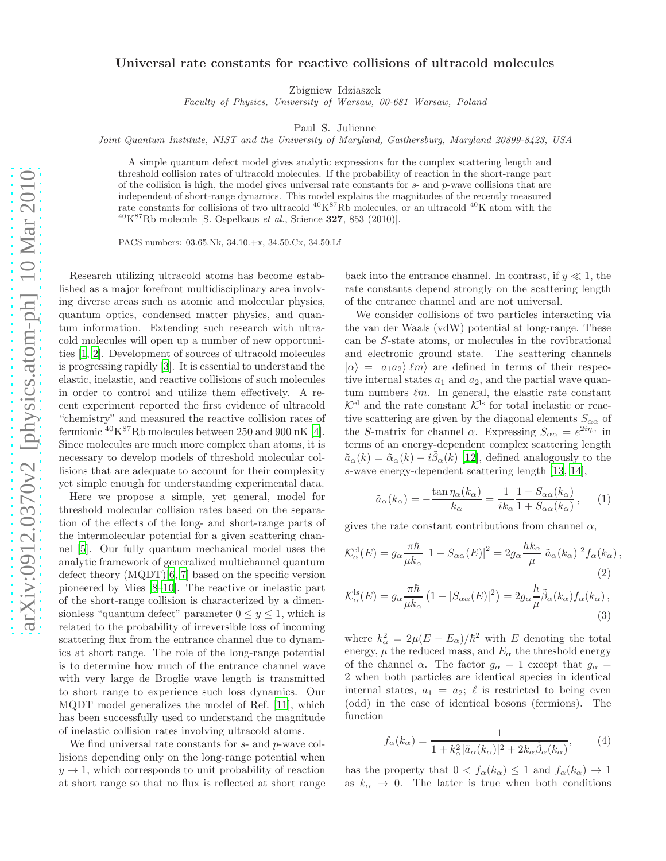## Universal rate constants for reactive collisions of ultracold molecules

Zbigniew Idziaszek

*Faculty of Physics, University of Warsaw, 00-681 Warsaw, Poland*

Paul S. Julienne

*Joint Quantum Institute, NIST and the University of Maryland, Gaithersburg, Maryland 20899-8423, USA*

A simple quantum defect model gives analytic expressions for the complex scattering length and threshold collision rates of ultracold molecules. If the probability of reaction in the short-range part of the collision is high, the model gives universal rate constants for  $s$ - and  $p$ -wave collisions that are independent of short-range dynamics. This model explains the magnitudes of the recently measured rate constants for collisions of two ultracold <sup>40</sup>K<sup>87</sup>Rb molecules, or an ultracold <sup>40</sup>K atom with the  $^{40}$ K<sup>87</sup>Rb molecule [S. Ospelkaus *et al.*, Science **327**, 853 (2010)].

PACS numbers: 03.65.Nk, 34.10.+x, 34.50.Cx, 34.50.Lf

Research utilizing ultracold atoms has become established as a major forefront multidisciplinary area involving diverse areas such as atomic and molecular physics, quantum optics, condensed matter physics, and quantum information. Extending such research with ultracold molecules will open up a number of new opportunities [\[1,](#page-3-0) [2](#page-3-1)]. Development of sources of ultracold molecules is progressing rapidly [\[3](#page-3-2)]. It is essential to understand the elastic, inelastic, and reactive collisions of such molecules in order to control and utilize them effectively. A recent experiment reported the first evidence of ultracold "chemistry" and measured the reactive collision rates of fermionic  ${}^{40}$ K ${}^{87}$ Rb molecules between 250 and 900 nK [\[4\]](#page-3-3). Since molecules are much more complex than atoms, it is necessary to develop models of threshold molecular collisions that are adequate to account for their complexity yet simple enough for understanding experimental data.

Here we propose a simple, yet general, model for threshold molecular collision rates based on the separation of the effects of the long- and short-range parts of the intermolecular potential for a given scattering channel [\[5\]](#page-3-4). Our fully quantum mechanical model uses the analytic framework of generalized multichannel quantum defect theory  $(MQDT)[6, 7]$  $(MQDT)[6, 7]$  $(MQDT)[6, 7]$  $(MQDT)[6, 7]$  based on the specific version pioneered by Mies [\[8](#page-3-7)[–10\]](#page-3-8). The reactive or inelastic part of the short-range collision is characterized by a dimensionless "quantum defect" parameter  $0 \le y \le 1$ , which is related to the probability of irreversible loss of incoming scattering flux from the entrance channel due to dynamics at short range. The role of the long-range potential is to determine how much of the entrance channel wave with very large de Broglie wave length is transmitted to short range to experience such loss dynamics. Our MQDT model generalizes the model of Ref. [\[11](#page-3-9)], which has been successfully used to understand the magnitude of inelastic collision rates involving ultracold atoms.

We find universal rate constants for  $s$ - and  $p$ -wave collisions depending only on the long-range potential when  $y \rightarrow 1$ , which corresponds to unit probability of reaction at short range so that no flux is reflected at short range

back into the entrance channel. In contrast, if  $y \ll 1$ , the rate constants depend strongly on the scattering length of the entrance channel and are not universal.

We consider collisions of two particles interacting via the van der Waals (vdW) potential at long-range. These can be S-state atoms, or molecules in the rovibrational and electronic ground state. The scattering channels  $|\alpha\rangle = |a_1 a_2\rangle |\ell m\rangle$  are defined in terms of their respective internal states  $a_1$  and  $a_2$ , and the partial wave quantum numbers  $\ell m$ . In general, the elastic rate constant  $\mathcal{K}^{\text{el}}$  and the rate constant  $\mathcal{K}^{\text{ls}}$  for total inelastic or reactive scattering are given by the diagonal elements  $S_{\alpha\alpha}$  of the S-matrix for channel  $\alpha$ . Expressing  $S_{\alpha\alpha} = e^{2i\eta_{\alpha}}$  in terms of an energy-dependent complex scattering length  $\tilde{a}_{\alpha}(k) = \tilde{\alpha}_{\alpha}(k) - i\tilde{\beta}_{\alpha}(k)$  [\[12\]](#page-3-10), defined analogously to the s-wave energy-dependent scattering length [\[13,](#page-3-11) [14\]](#page-3-12),

<span id="page-0-0"></span>
$$
\tilde{a}_{\alpha}(k_{\alpha}) = -\frac{\tan \eta_{\alpha}(k_{\alpha})}{k_{\alpha}} = \frac{1}{ik_{\alpha}} \frac{1 - S_{\alpha\alpha}(k_{\alpha})}{1 + S_{\alpha\alpha}(k_{\alpha})}, \quad (1)
$$

gives the rate constant contributions from channel  $\alpha$ ,

$$
\mathcal{K}_{\alpha}^{\text{el}}(E) = g_{\alpha} \frac{\pi \hbar}{\mu k_{\alpha}} |1 - S_{\alpha\alpha}(E)|^2 = 2g_{\alpha} \frac{h k_{\alpha}}{\mu} |\tilde{a}_{\alpha}(k_{\alpha})|^2 f_{\alpha}(k_{\alpha}),
$$
\n(2)\n
$$
\mathcal{K}_{\alpha}^{\text{ls}}(E) = g_{\alpha} \frac{\pi \hbar}{\mu k_{\alpha}} (1 - |S_{\alpha\alpha}(E)|^2) = 2g_{\alpha} \frac{h}{\mu} \tilde{\beta}_{\alpha}(k_{\alpha}) f_{\alpha}(k_{\alpha}),
$$

(3)  
\nwhere 
$$
k_{\alpha}^2 = 2\mu(E - E_{\alpha})/\hbar^2
$$
 with E denoting the total  
\nenergy,  $\mu$  the reduced mass, and  $E_{\alpha}$  the threshold energy  
\nof the channel  $\alpha$ . The factor  $g_{\alpha} = 1$  except that  $g_{\alpha} =$   
\n2 when both particles are identical species in identical  
\ninternal states,  $a_1 = a_2$ ;  $\ell$  is restricted to being even  
\n(odd) in the case of identical bosons (fermions). The

<span id="page-0-1"></span>
$$
f_{\alpha}(k_{\alpha}) = \frac{1}{1 + k_{\alpha}^2 |\tilde{a}_{\alpha}(k_{\alpha})|^2 + 2k_{\alpha}\tilde{\beta}_{\alpha}(k_{\alpha})},\tag{4}
$$

has the property that  $0 < f_\alpha(k_\alpha) \leq 1$  and  $f_\alpha(k_\alpha) \to 1$ as  $k_{\alpha} \rightarrow 0$ . The latter is true when both conditions

function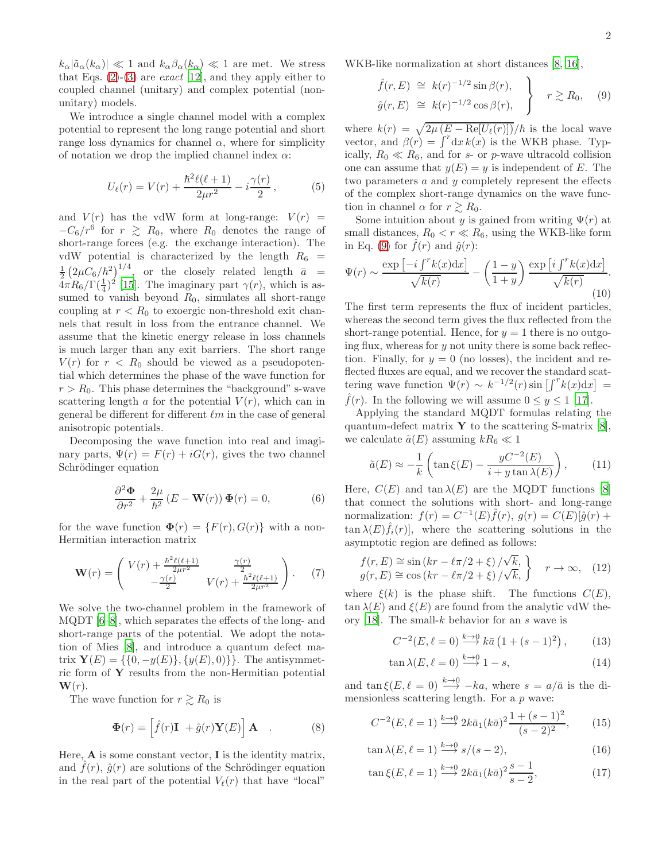$k_{\alpha}|\tilde{a}_{\alpha}(k_{\alpha})| \ll 1$  and  $k_{\alpha}\beta_{\alpha}(k_{\alpha}) \ll 1$  are met. We stress that Eqs.  $(2)-(3)$  $(2)-(3)$  are *exact* [\[12](#page-3-10)], and they apply either to coupled channel (unitary) and complex potential (nonunitary) models.

We introduce a single channel model with a complex potential to represent the long range potential and short range loss dynamics for channel  $\alpha$ , where for simplicity of notation we drop the implied channel index  $\alpha$ :

$$
U_{\ell}(r) = V(r) + \frac{\hbar^2 \ell(\ell+1)}{2\mu r^2} - i\frac{\gamma(r)}{2},\tag{5}
$$

and  $V(r)$  has the vdW form at long-range:  $V(r)$  =  $-C_6/r^6$  for  $r \ge R_0$ , where  $R_0$  denotes the range of short-range forces (e.g. the exchange interaction). The vdW potential is characterized by the length  $R_6$  =  $\frac{1}{2} \left( 2 \mu C_6 / \hbar^2 \right)^{1/4}$ , or the closely related length  $\bar{a}$  =  $4\pi R_6/\Gamma(\frac{1}{4})^2$  [\[15](#page-3-13)]. The imaginary part  $\gamma(r)$ , which is assumed to vanish beyond  $R_0$ , simulates all short-range coupling at  $r < R_0$  to excergic non-threshold exit channels that result in loss from the entrance channel. We assume that the kinetic energy release in loss channels is much larger than any exit barriers. The short range  $V(r)$  for  $r < R_0$  should be viewed as a pseudopotential which determines the phase of the wave function for  $r > R_0$ . This phase determines the "background" s-wave scattering length a for the potential  $V(r)$ , which can in general be different for different  $\ell m$  in the case of general anisotropic potentials.

Decomposing the wave function into real and imaginary parts,  $\Psi(r) = F(r) + iG(r)$ , gives the two channel Schrödinger equation

$$
\frac{\partial^2 \Phi}{\partial r^2} + \frac{2\mu}{\hbar^2} \left( E - \mathbf{W}(r) \right) \Phi(r) = 0, \tag{6}
$$

for the wave function  $\mathbf{\Phi}(r) = \{F(r), G(r)\}\$  with a non-Hermitian interaction matrix

$$
\mathbf{W}(r) = \begin{pmatrix} V(r) + \frac{\hbar^2 \ell(\ell+1)}{2\mu r^2} & \frac{\gamma(r)}{2} \\ -\frac{\gamma(r)}{2} & V(r) + \frac{\hbar^2 \ell(\ell+1)}{2\mu r^2} \end{pmatrix} . \tag{7}
$$

We solve the two-channel problem in the framework of MQDT [\[6](#page-3-5)[–8](#page-3-7)], which separates the effects of the long- and short-range parts of the potential. We adopt the notation of Mies [\[8\]](#page-3-7), and introduce a quantum defect matrix  $Y(E) = \{\{0, -y(E)\}, \{y(E), 0)\}\}\.$  The antisymmetric form of  $\mathbf Y$  results from the non-Hermitian potential  $\mathbf{W}(r)$ .

The wave function for  $r \gtrsim R_0$  is

$$
\mathbf{\Phi}(r) = \left[\hat{f}(r)\mathbf{I} + \hat{g}(r)\mathbf{Y}(E)\right]\mathbf{A} \quad . \tag{8}
$$

Here,  $\bf{A}$  is some constant vector,  $\bf{I}$  is the identity matrix, and  $\hat{f}(r)$ ,  $\hat{q}(r)$  are solutions of the Schrödinger equation in the real part of the potential  $V_{\ell}(r)$  that have "local"

WKB-like normalization at short distances [\[8,](#page-3-7) [16\]](#page-3-14),

<span id="page-1-0"></span>
$$
\hat{f}(r, E) \cong k(r)^{-1/2} \sin \beta(r),
$$
\n
$$
\hat{g}(r, E) \cong k(r)^{-1/2} \cos \beta(r),
$$
\n
$$
r \gtrsim R_0, \quad (9)
$$

where  $k(r) = \sqrt{2\mu (E - \text{Re}[U_{\ell}(r)])}/\hbar$  is the local wave vector, and  $\beta(r) = \int^r dx k(x)$  is the WKB phase. Typically,  $R_0 \ll R_6$ , and for s- or p-wave ultracold collision one can assume that  $y(E) = y$  is independent of E. The two parameters  $a$  and  $y$  completely represent the effects of the complex short-range dynamics on the wave function in channel  $\alpha$  for  $r \gtrsim R_0$ .

Some intuition about y is gained from writing  $\Psi(r)$  at small distances,  $R_0 < r \ll R_6$ , using the WKB-like form in Eq. [\(9\)](#page-1-0) for  $f(r)$  and  $\hat{g}(r)$ :

$$
\Psi(r) \sim \frac{\exp\left[-i\int^r k(x)dx\right]}{\sqrt{k(r)}} - \left(\frac{1-y}{1+y}\right) \frac{\exp\left[i\int^r k(x)dx\right]}{\sqrt{k(r)}}.
$$
\n(10)

The first term represents the flux of incident particles, whereas the second term gives the flux reflected from the short-range potential. Hence, for  $y = 1$  there is no outgoing flux, whereas for  $y$  not unity there is some back reflection. Finally, for  $y = 0$  (no losses), the incident and reflected fluxes are equal, and we recover the standard scattering wave function  $\Psi(r) \sim k^{-1/2}(r) \sin\left[\int^r k(x) dx\right]$  =  $\widehat{f}(r)$ . In the following we will assume  $0 \leq y \leq 1$  [\[17](#page-3-15)].

Applying the standard MQDT formulas relating the quantum-defect matrix  $\bf{Y}$  to the scattering S-matrix [\[8\]](#page-3-7), we calculate  $\tilde{a}(E)$  assuming  $kR_6 \ll 1$ 

<span id="page-1-1"></span>
$$
\tilde{a}(E) \approx -\frac{1}{k} \left( \tan \xi(E) - \frac{yC^{-2}(E)}{i + y \tan \lambda(E)} \right), \quad (11)
$$

Here,  $C(E)$  and tan  $\lambda(E)$  are the MQDT functions [\[8](#page-3-7)] that connect the solutions with short- and long-range normalization:  $f(r) = C^{-1}(E) \hat{f}(r)$ ,  $g(r) = C(E) [\hat{g}(r) +$  $\tan \lambda(E)\hat{f}_i(r)$ , where the scattering solutions in the asymptotic region are defined as follows:

$$
f(r, E) \cong \sin\left(kr - \ell\pi/2 + \xi\right) / \sqrt{k},
$$
  
\n
$$
g(r, E) \cong \cos\left(kr - \ell\pi/2 + \xi\right) / \sqrt{k},
$$
  
\n
$$
r \to \infty, \quad (12)
$$

where  $\xi(k)$  is the phase shift. The functions  $C(E)$ ,  $\tan \lambda(E)$  and  $\xi(E)$  are found from the analytic vdW the-ory [\[18](#page-3-16)]. The small- $k$  behavior for an  $s$  wave is

<span id="page-1-2"></span>
$$
C^{-2}(E, \ell = 0) \stackrel{k \to 0}{\longrightarrow} k\bar{a} (1 + (s - 1)^2), \quad (13)
$$

$$
\tan \lambda (E, \ell = 0) \stackrel{k \to 0}{\longrightarrow} 1 - s,\tag{14}
$$

and  $\tan \xi(E, \ell = 0) \stackrel{k \to 0}{\longrightarrow} -ka$ , where  $s = a/\bar{a}$  is the dimensionless scattering length. For a  $p$  wave:

$$
C^{-2}(E, \ell = 1) \xrightarrow{k \to 0} 2k\bar{a}_1(k\bar{a})^2 \frac{1 + (s - 1)^2}{(s - 2)^2},
$$
 (15)

$$
\tan \lambda (E, \ell = 1) \stackrel{k \to 0}{\longrightarrow} s/(s-2),\tag{16}
$$

<span id="page-1-3"></span>
$$
\tan \xi (E, \ell = 1) \stackrel{k \to 0}{\longrightarrow} 2k \bar{a}_1 (k \bar{a})^2 \frac{s - 1}{s - 2},\tag{17}
$$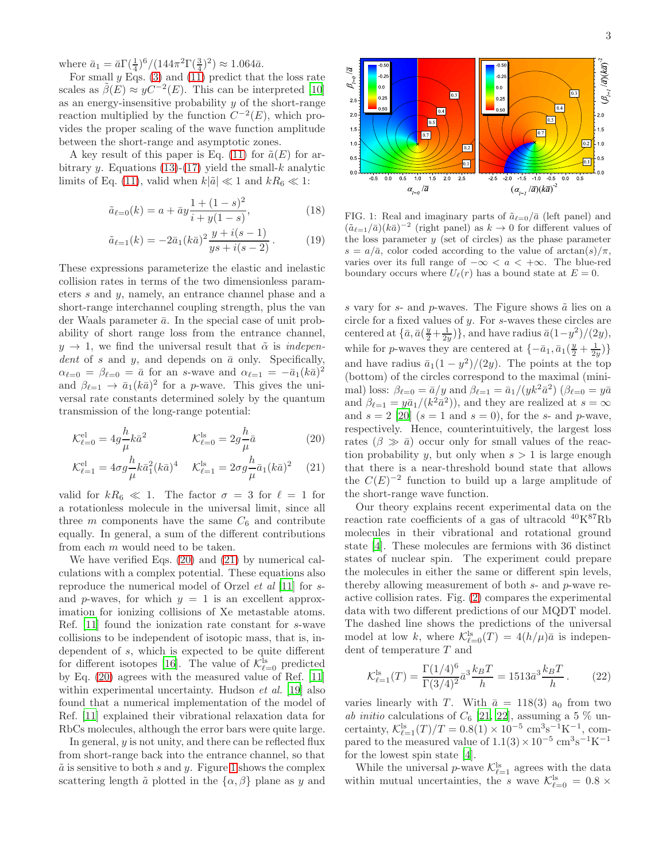where  $\bar{a}_1 = \bar{a}\Gamma(\frac{1}{4})^6/(144\pi^2\Gamma(\frac{3}{4})^2) \approx 1.064\bar{a}$ .

For small  $y$  Eqs. [\(3\)](#page-0-1) and [\(11\)](#page-1-1) predict that the loss rate scales as  $\tilde{\beta}(E) \approx yC^{-2}(E)$ . This can be interpreted [\[10](#page-3-8)] as an energy-insensitive probability  $y$  of the short-range reaction multiplied by the function  $C^{-2}(E)$ , which provides the proper scaling of the wave function amplitude between the short-range and asymptotic zones.

A key result of this paper is Eq. [\(11\)](#page-1-1) for  $\tilde{a}(E)$  for ar-bitrary y. Equations [\(13\)](#page-1-2)-[\(17\)](#page-1-3) yield the small-k analytic limits of Eq. [\(11\)](#page-1-1), valid when  $k|\tilde{a}| \ll 1$  and  $kR_6 \ll 1$ :

$$
\tilde{a}_{\ell=0}(k) = a + \bar{a}y \frac{1 + (1 - s)^2}{i + y(1 - s)},
$$
\n(18)

$$
\tilde{a}_{\ell=1}(k) = -2\bar{a}_1(k\bar{a})^2 \frac{y + i(s - 1)}{ys + i(s - 2)}.
$$
\n(19)

These expressions parameterize the elastic and inelastic collision rates in terms of the two dimensionless parameters s and y, namely, an entrance channel phase and a short-range interchannel coupling strength, plus the van der Waals parameter  $\bar{a}$ . In the special case of unit probability of short range loss from the entrance channel,  $y \rightarrow 1$ , we find the universal result that  $\tilde{\alpha}$  is *indepen*dent of s and y, and depends on  $\bar{a}$  only. Specifically,  $\alpha_{\ell=0} = \beta_{\ell=0} = \bar{a}$  for an s-wave and  $\alpha_{\ell=1} = -\bar{a}_1 (k\bar{a})^2$ and  $\beta_{\ell=1} \to \bar{a}_1 (k \bar{a})^2$  for a *p*-wave. This gives the universal rate constants determined solely by the quantum transmission of the long-range potential:

$$
\mathcal{K}_{\ell=0}^{\text{el}} = 4g \frac{h}{\mu} k \bar{a}^2 \qquad \qquad \mathcal{K}_{\ell=0}^{\text{ls}} = 2g \frac{h}{\mu} \bar{a} \tag{20}
$$

$$
\mathcal{K}_{\ell=1}^{\text{el}} = 4\sigma g \frac{h}{\mu} k \bar{a}_1^2 (k \bar{a})^4 \quad \mathcal{K}_{\ell=1}^{\text{ls}} = 2\sigma g \frac{h}{\mu} \bar{a}_1 (k \bar{a})^2 \quad (21)
$$

valid for  $kR_6 \ll 1$ . The factor  $\sigma = 3$  for  $\ell = 1$  for a rotationless molecule in the universal limit, since all three m components have the same  $C_6$  and contribute equally. In general, a sum of the different contributions from each m would need to be taken.

We have verified Eqs. [\(20\)](#page-2-0) and [\(21\)](#page-2-1) by numerical calculations with a complex potential. These equations also reproduce the numerical model of Orzel et al [\[11\]](#page-3-9) for sand p-waves, for which  $y = 1$  is an excellent approximation for ionizing collisions of Xe metastable atoms. Ref. [\[11\]](#page-3-9) found the ionization rate constant for s-wave collisions to be independent of isotopic mass, that is, independent of s, which is expected to be quite different for different isotopes [\[16\]](#page-3-14). The value of  $\mathcal{K}_{\ell=0}^{\text{ls}}$  predicted by Eq. [\(20\)](#page-2-0) agrees with the measured value of Ref. [\[11](#page-3-9)] within experimental uncertainty. Hudson *et al.* [\[19](#page-3-17)] also found that a numerical implementation of the model of Ref. [\[11](#page-3-9)] explained their vibrational relaxation data for RbCs molecules, although the error bars were quite large.

In general, y is not unity, and there can be reflected flux from short-range back into the entrance channel, so that  $\tilde{a}$  is sensitive to both s and y. Figure [1](#page-2-2) shows the complex scattering length  $\tilde{a}$  plotted in the  $\{\alpha, \beta\}$  plane as y and



<span id="page-2-4"></span><span id="page-2-3"></span><span id="page-2-2"></span>FIG. 1: Real and imaginary parts of  $\tilde{a}_{\ell=0}/\bar{a}$  (left panel) and  $(\tilde{a}_{\ell=1}/\bar{a})(k\bar{a})^{-2}$  (right panel) as  $k \to 0$  for different values of the loss parameter  $y$  (set of circles) as the phase parameter  $s = a/\bar{a}$ , color coded according to the value of  $arctan(s)/\pi$ , varies over its full range of  $-\infty < a < +\infty$ . The blue-red boundary occurs where  $U_{\ell}(r)$  has a bound state at  $E=0$ .

s vary for s- and p-waves. The Figure shows  $\tilde{a}$  lies on a circle for a fixed values of y. For s-waves these circles are centered at  $\{\bar{a}, \bar{a}(\frac{y}{2} + \frac{1}{2y})\}$ , and have radius  $\bar{a}(1-y^2)/(2y)$ , while for *p*-waves they are centered at  $\{-\bar{a}_1, \bar{a}_1(\frac{y}{2} + \frac{1}{2y})\}$ and have radius  $\bar{a}_1(1-y^2)/(2y)$ . The points at the top (bottom) of the circles correspond to the maximal (minimal) loss:  $\beta_{\ell=0} = \bar{a}/y$  and  $\beta_{\ell=1} = \bar{a}_1/(yk^2 \bar{a}^2)$  ( $\beta_{\ell=0} = y\bar{a}$ and  $\beta_{\ell=1} = y \bar{a}_1 / (k^2 \bar{a}^2)$ , and they are realized at  $s = \infty$ and  $s = 2$  [\[20](#page-3-18)]  $(s = 1$  and  $s = 0)$ , for the s- and p-wave, respectively. Hence, counterintuitively, the largest loss rates  $(\beta \gg \bar{a})$  occur only for small values of the reaction probability y, but only when  $s > 1$  is large enough that there is a near-threshold bound state that allows the  $C(E)^{-2}$  function to build up a large amplitude of the short-range wave function.

<span id="page-2-1"></span><span id="page-2-0"></span>Our theory explains recent experimental data on the reaction rate coefficients of a gas of ultracold <sup>40</sup>K<sup>87</sup>Rb molecules in their vibrational and rotational ground state [\[4\]](#page-3-3). These molecules are fermions with 36 distinct states of nuclear spin. The experiment could prepare the molecules in either the same or different spin levels, thereby allowing measurement of both s- and p-wave reactive collision rates. Fig. [\(2\)](#page-3-19) compares the experimental data with two different predictions of our MQDT model. The dashed line shows the predictions of the universal model at low k, where  $\mathcal{K}_{\ell=0}^{\text{ls}}(T) = 4(h/\mu)\bar{a}$  is independent of temperature  $T$  and

$$
\mathcal{K}_{\ell=1}^{\text{ls}}(T) = \frac{\Gamma(1/4)^6}{\Gamma(3/4)^2} \bar{a}^3 \frac{k_B T}{h} = 1513 \bar{a}^3 \frac{k_B T}{h} \,. \tag{22}
$$

varies linearly with T. With  $\bar{a} = 118(3)$  a<sub>0</sub> from two ab initio calculations of  $C_6$  [\[21,](#page-3-20) [22\]](#page-3-21), assuming a 5 % uncertainty,  $\mathcal{K}_{\ell=1}^{\text{ls}}(T)/T = 0.8(1) \times 10^{-5} \text{ cm}^3 \text{s}^{-1} \text{K}^{-1}$ , compared to the measured value of  $1.1(3) \times 10^{-5}$  cm<sup>3</sup>s<sup>-1</sup>K<sup>-1</sup> for the lowest spin state [\[4\]](#page-3-3).

While the universal *p*-wave  $\mathcal{K}_{\ell=1}^{\text{ls}}$  agrees with the data within mutual uncertainties, the s wave  $\mathcal{K}_{\ell=0}^{\text{ls}} = 0.8 \times$